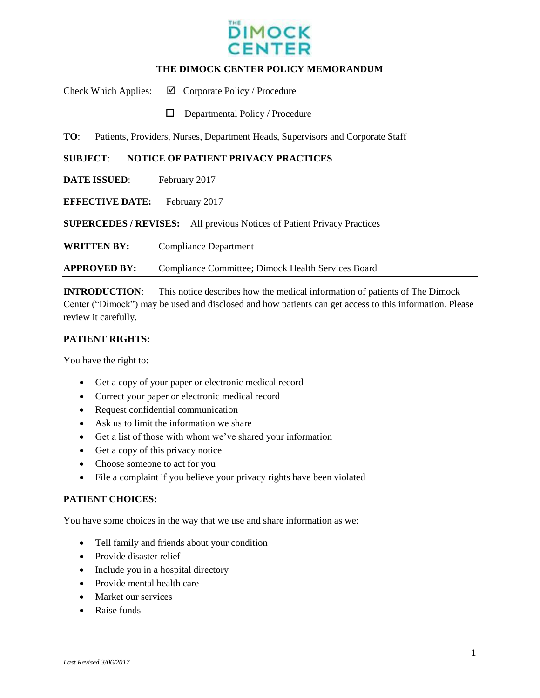

#### **THE DIMOCK CENTER POLICY MEMORANDUM**

Check Which Applies:  $\Box$  Corporate Policy / Procedure

 $\Box$  Departmental Policy / Procedure

**TO**: Patients, Providers, Nurses, Department Heads, Supervisors and Corporate Staff

#### **SUBJECT**: **NOTICE OF PATIENT PRIVACY PRACTICES**

**DATE ISSUED:** February 2017

**EFFECTIVE DATE:** February 2017

**SUPERCEDES / REVISES:** All previous Notices of Patient Privacy Practices

**WRITTEN BY:** Compliance Department

**APPROVED BY:** Compliance Committee; Dimock Health Services Board

**INTRODUCTION**: This notice describes how the medical information of patients of The Dimock Center ("Dimock") may be used and disclosed and how patients can get access to this information. Please review it carefully.

## **PATIENT RIGHTS:**

You have the right to:

- Get a copy of your paper or electronic medical record
- Correct your paper or electronic medical record
- Request confidential communication
- Ask us to limit the information we share
- Get a list of those with whom we've shared your information
- Get a copy of this privacy notice
- Choose someone to act for you
- File a complaint if you believe your privacy rights have been violated

#### **PATIENT CHOICES:**

You have some choices in the way that we use and share information as we:

- Tell family and friends about your condition
- Provide disaster relief
- Include you in a hospital directory
- Provide mental health care
- Market our services
- Raise funds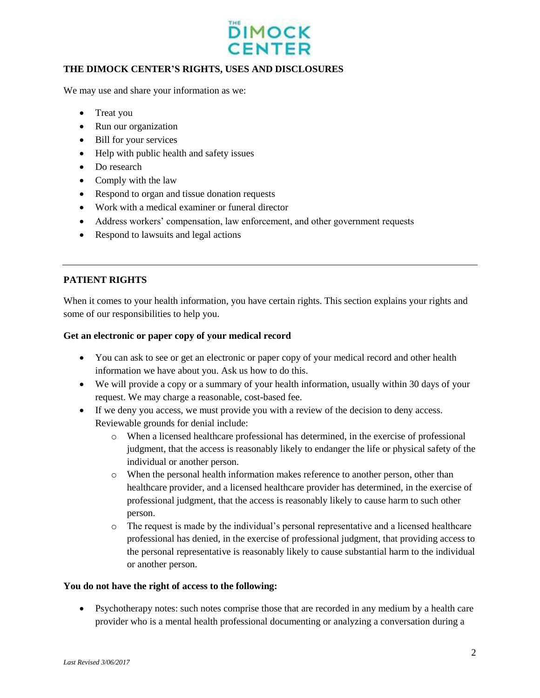

## **THE DIMOCK CENTER'S RIGHTS, USES AND DISCLOSURES**

We may use and share your information as we:

- Treat you
- Run our organization
- Bill for your services
- Help with public health and safety issues
- Do research
- Comply with the law
- Respond to organ and tissue donation requests
- Work with a medical examiner or funeral director
- Address workers' compensation, law enforcement, and other government requests
- Respond to lawsuits and legal actions

# **PATIENT RIGHTS**

When it comes to your health information, you have certain rights. This section explains your rights and some of our responsibilities to help you.

## **Get an electronic or paper copy of your medical record**

- You can ask to see or get an electronic or paper copy of your medical record and other health information we have about you. Ask us how to do this.
- We will provide a copy or a summary of your health information, usually within 30 days of your request. We may charge a reasonable, cost-based fee.
- If we deny you access, we must provide you with a review of the decision to deny access. Reviewable grounds for denial include:
	- o When a licensed healthcare professional has determined, in the exercise of professional judgment, that the access is reasonably likely to endanger the life or physical safety of the individual or another person.
	- o When the personal health information makes reference to another person, other than healthcare provider, and a licensed healthcare provider has determined, in the exercise of professional judgment, that the access is reasonably likely to cause harm to such other person.
	- o The request is made by the individual's personal representative and a licensed healthcare professional has denied, in the exercise of professional judgment, that providing access to the personal representative is reasonably likely to cause substantial harm to the individual or another person.

## **You do not have the right of access to the following:**

 Psychotherapy notes: such notes comprise those that are recorded in any medium by a health care provider who is a mental health professional documenting or analyzing a conversation during a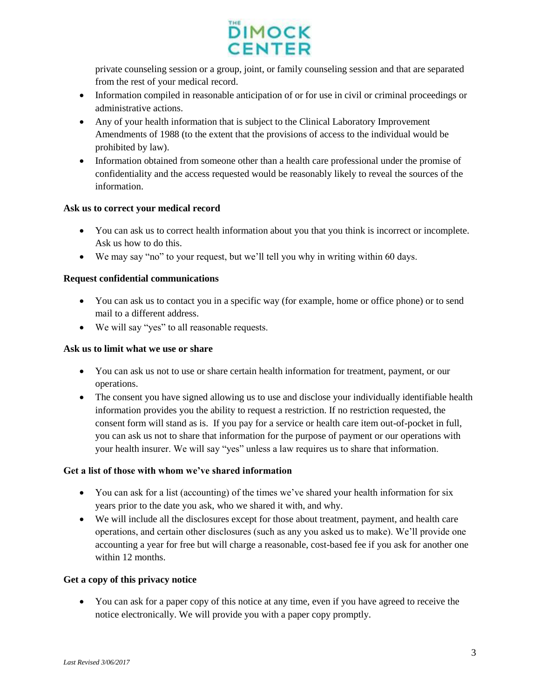

private counseling session or a group, joint, or family counseling session and that are separated from the rest of your medical record.

- Information compiled in reasonable anticipation of or for use in civil or criminal proceedings or administrative actions.
- Any of your health information that is subject to the Clinical Laboratory Improvement Amendments of 1988 (to the extent that the provisions of access to the individual would be prohibited by law).
- Information obtained from someone other than a health care professional under the promise of confidentiality and the access requested would be reasonably likely to reveal the sources of the information.

# **Ask us to correct your medical record**

- You can ask us to correct health information about you that you think is incorrect or incomplete. Ask us how to do this.
- We may say "no" to your request, but we'll tell you why in writing within 60 days.

# **Request confidential communications**

- You can ask us to contact you in a specific way (for example, home or office phone) or to send mail to a different address.
- We will say "yes" to all reasonable requests.

## **Ask us to limit what we use or share**

- You can ask us not to use or share certain health information for treatment, payment, or our operations.
- The consent you have signed allowing us to use and disclose your individually identifiable health information provides you the ability to request a restriction. If no restriction requested, the consent form will stand as is. If you pay for a service or health care item out-of-pocket in full, you can ask us not to share that information for the purpose of payment or our operations with your health insurer. We will say "yes" unless a law requires us to share that information.

## **Get a list of those with whom we've shared information**

- You can ask for a list (accounting) of the times we've shared your health information for six years prior to the date you ask, who we shared it with, and why.
- We will include all the disclosures except for those about treatment, payment, and health care operations, and certain other disclosures (such as any you asked us to make). We'll provide one accounting a year for free but will charge a reasonable, cost-based fee if you ask for another one within 12 months.

# **Get a copy of this privacy notice**

 You can ask for a paper copy of this notice at any time, even if you have agreed to receive the notice electronically. We will provide you with a paper copy promptly.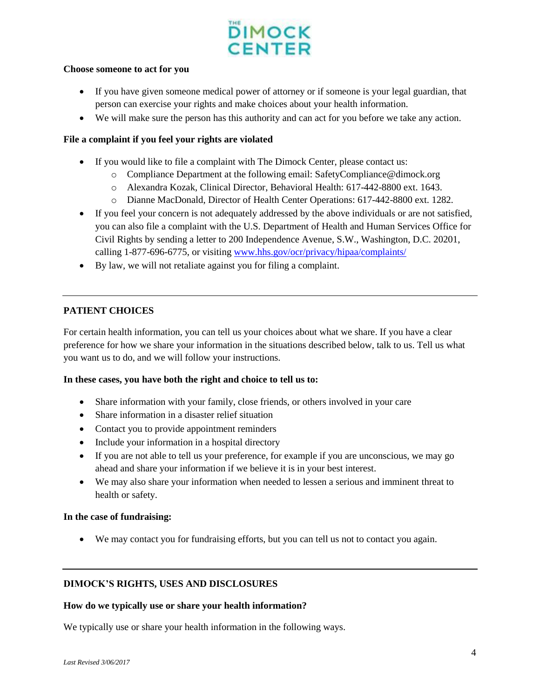# **DIMOCK CENTER**

#### **Choose someone to act for you**

- If you have given someone medical power of attorney or if someone is your legal guardian, that person can exercise your rights and make choices about your health information.
- We will make sure the person has this authority and can act for you before we take any action.

## **File a complaint if you feel your rights are violated**

- If you would like to file a complaint with The Dimock Center, please contact us:
	- o Compliance Department at the following email: SafetyCompliance@dimock.org
	- o Alexandra Kozak, Clinical Director, Behavioral Health: 617-442-8800 ext. 1643.
	- o Dianne MacDonald, Director of Health Center Operations: 617-442-8800 ext. 1282.
- If you feel your concern is not adequately addressed by the above individuals or are not satisfied, you can also file a complaint with the U.S. Department of Health and Human Services Office for Civil Rights by sending a letter to 200 Independence Avenue, S.W., Washington, D.C. 20201, calling 1-877-696-6775, or visiting [www.hhs.gov/ocr/privacy/hipaa/complaints/](http://www.hhs.gov/ocr/privacy/hipaa/complaints/)
- By law, we will not retaliate against you for filing a complaint.

# **PATIENT CHOICES**

For certain health information, you can tell us your choices about what we share. If you have a clear preference for how we share your information in the situations described below, talk to us. Tell us what you want us to do, and we will follow your instructions.

## **In these cases, you have both the right and choice to tell us to:**

- Share information with your family, close friends, or others involved in your care
- Share information in a disaster relief situation
- Contact you to provide appointment reminders
- Include your information in a hospital directory
- If you are not able to tell us your preference, for example if you are unconscious, we may go ahead and share your information if we believe it is in your best interest.
- We may also share your information when needed to lessen a serious and imminent threat to health or safety.

## **In the case of fundraising:**

We may contact you for fundraising efforts, but you can tell us not to contact you again.

## **DIMOCK'S RIGHTS, USES AND DISCLOSURES**

## **How do we typically use or share your health information?**

We typically use or share your health information in the following ways.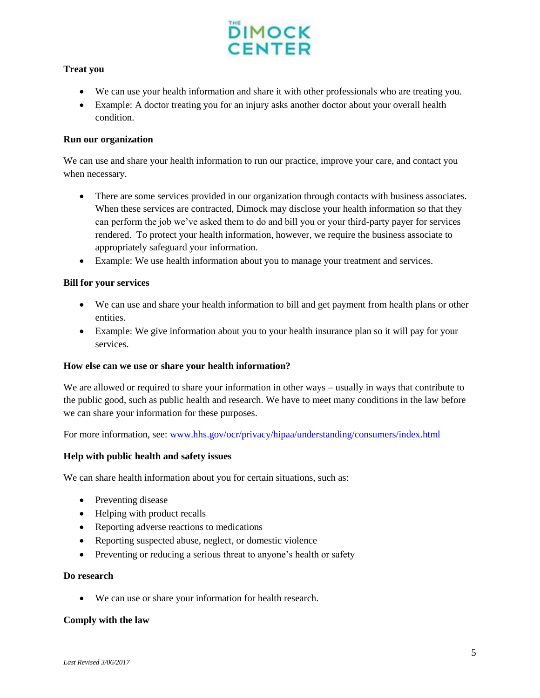

## **Treat you**

- We can use your health information and share it with other professionals who are treating you.
- Example: A doctor treating you for an injury asks another doctor about your overall health condition.

## **Run our organization**

We can use and share your health information to run our practice, improve your care, and contact you when necessary.

- There are some services provided in our organization through contacts with business associates. When these services are contracted, Dimock may disclose your health information so that they can perform the job we've asked them to do and bill you or your third-party payer for services rendered. To protect your health information, however, we require the business associate to appropriately safeguard your information.
- Example: We use health information about you to manage your treatment and services.

## **Bill for your services**

- We can use and share your health information to bill and get payment from health plans or other entities.
- Example: We give information about you to your health insurance plan so it will pay for your services.

#### **How else can we use or share your health information?**

We are allowed or required to share your information in other ways – usually in ways that contribute to the public good, such as public health and research. We have to meet many conditions in the law before we can share your information for these purposes.

For more information, see: [www.hhs.gov/ocr/privacy/hipaa/understanding/consumers/index.html](http://www.hhs.gov/ocr/privacy/hipaa/understanding/consumers/index.html)

#### **Help with public health and safety issues**

We can share health information about you for certain situations, such as:

- Preventing disease
- Helping with product recalls
- Reporting adverse reactions to medications
- Reporting suspected abuse, neglect, or domestic violence
- Preventing or reducing a serious threat to anyone's health or safety

#### **Do research**

We can use or share your information for health research.

#### **Comply with the law**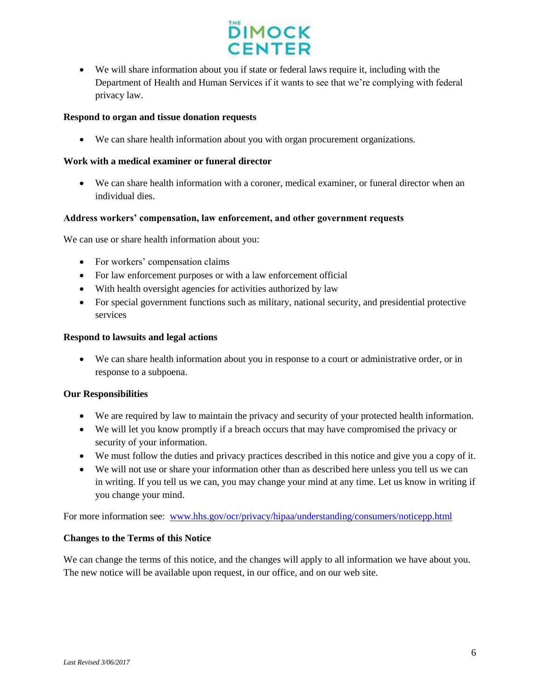

 We will share information about you if state or federal laws require it, including with the Department of Health and Human Services if it wants to see that we're complying with federal privacy law.

## **Respond to organ and tissue donation requests**

We can share health information about you with organ procurement organizations.

## **Work with a medical examiner or funeral director**

 We can share health information with a coroner, medical examiner, or funeral director when an individual dies.

## **Address workers' compensation, law enforcement, and other government requests**

We can use or share health information about you:

- For workers' compensation claims
- For law enforcement purposes or with a law enforcement official
- With health oversight agencies for activities authorized by law
- For special government functions such as military, national security, and presidential protective services

## **Respond to lawsuits and legal actions**

 We can share health information about you in response to a court or administrative order, or in response to a subpoena.

## **Our Responsibilities**

- We are required by law to maintain the privacy and security of your protected health information.
- We will let you know promptly if a breach occurs that may have compromised the privacy or security of your information.
- We must follow the duties and privacy practices described in this notice and give you a copy of it.
- We will not use or share your information other than as described here unless you tell us we can in writing. If you tell us we can, you may change your mind at any time. Let us know in writing if you change your mind.

For more information see: [www.hhs.gov/ocr/privacy/hipaa/understanding/consumers/noticepp.html](http://www.hhs.gov/ocr/privacy/hipaa/understanding/consumers/noticepp.html)

## **Changes to the Terms of this Notice**

We can change the terms of this notice, and the changes will apply to all information we have about you. The new notice will be available upon request, in our office, and on our web site.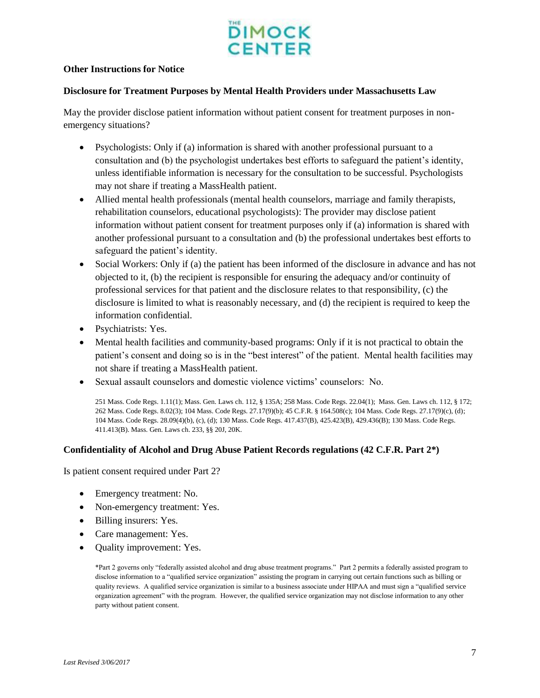

## **Other Instructions for Notice**

#### **Disclosure for Treatment Purposes by Mental Health Providers under Massachusetts Law**

May the provider disclose patient information without patient consent for treatment purposes in nonemergency situations?

- Psychologists: Only if (a) information is shared with another professional pursuant to a consultation and (b) the psychologist undertakes best efforts to safeguard the patient's identity, unless identifiable information is necessary for the consultation to be successful. Psychologists may not share if treating a MassHealth patient.
- Allied mental health professionals (mental health counselors, marriage and family therapists, rehabilitation counselors, educational psychologists): The provider may disclose patient information without patient consent for treatment purposes only if (a) information is shared with another professional pursuant to a consultation and (b) the professional undertakes best efforts to safeguard the patient's identity.
- Social Workers: Only if (a) the patient has been informed of the disclosure in advance and has not objected to it, (b) the recipient is responsible for ensuring the adequacy and/or continuity of professional services for that patient and the disclosure relates to that responsibility, (c) the disclosure is limited to what is reasonably necessary, and (d) the recipient is required to keep the information confidential.
- Psychiatrists: Yes.
- Mental health facilities and community-based programs: Only if it is not practical to obtain the patient's consent and doing so is in the "best interest" of the patient. Mental health facilities may not share if treating a MassHealth patient.
- Sexual assault counselors and domestic violence victims' counselors: No.

251 Mass. Code Regs. 1.11(1); Mass. Gen. Laws ch. 112, § 135A; 258 Mass. Code Regs. 22.04(1); Mass. Gen. Laws ch. 112, § 172; 262 Mass. Code Regs. 8.02(3); 104 Mass. Code Regs. 27.17(9)(b); 45 C.F.R. § 164.508(c); 104 Mass. Code Regs. 27.17(9)(c), (d); 104 Mass. Code Regs. 28.09(4)(b), (c), (d); 130 Mass. Code Regs. 417.437(B), 425.423(B), 429.436(B); 130 Mass. Code Regs. 411.413(B). Mass. Gen. Laws ch. 233, §§ 20J, 20K.

#### **Confidentiality of Alcohol and Drug Abuse Patient Records regulations (42 C.F.R. Part 2\*)**

Is patient consent required under Part 2?

- Emergency treatment: No.
- Non-emergency treatment: Yes.
- Billing insurers: Yes.
- Care management: Yes.
- Quality improvement: Yes.

\*Part 2 governs only "federally assisted alcohol and drug abuse treatment programs." Part 2 permits a federally assisted program to disclose information to a "qualified service organization" assisting the program in carrying out certain functions such as billing or quality reviews. A qualified service organization is similar to a business associate under HIPAA and must sign a "qualified service organization agreement" with the program. However, the qualified service organization may not disclose information to any other party without patient consent.